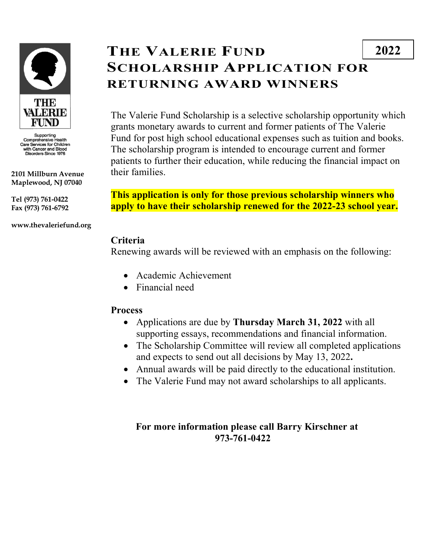

Supporting<br>Comprehensive Health<br>Care Services for Children<br>with Cancer and Blood<br>Disorders Since 1976

**2101 Millburn Avenue Maplewood, NJ 07040**

**Tel (973) 761-0422 Fax (973) 761-6792**

**www.thevaleriefund.org**

# **THE VALERIE FUND SCHOLARSHIP APPLICATION FOR RETURNING AWARD WINNERS**

The Valerie Fund Scholarship is a selective scholarship opportunity which grants monetary awards to current and former patients of The Valerie Fund for post high school educational expenses such as tuition and books. The scholarship program is intended to encourage current and former patients to further their education, while reducing the financial impact on their families.

**This application is only for those previous scholarship winners who apply to have their scholarship renewed for the 2022-23 school year.**

### **Criteria**

Renewing awards will be reviewed with an emphasis on the following:

- Academic Achievement
- Financial need

### **Process**

- Applications are due by **Thursday March 31, 2022** with all supporting essays, recommendations and financial information.
- The Scholarship Committee will review all completed applications and expects to send out all decisions by May 13, 2022**.**
- Annual awards will be paid directly to the educational institution.
- The Valerie Fund may not award scholarships to all applicants.

### **For more information please call Barry Kirschner at 973-761-0422**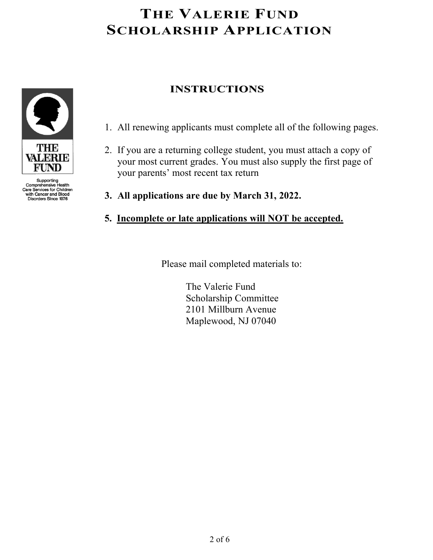

- 1. All renewing applicants must complete all of the following pages.
- 2. If you are a returning college student, you must attach a copy of your most current grades. You must also supply the first page of your parents' most recent tax return
- **3. All applications are due by March 31, 2022.**
- **5. Incomplete or late applications will NOT be accepted.**

Please mail completed materials to:

 The Valerie Fund Scholarship Committee 2101 Millburn Avenue Maplewood, NJ 07040



Supporting<br>Comprehensive Health<br>Care Services for Children with Cancer and Blood<br>Disorders Since 1976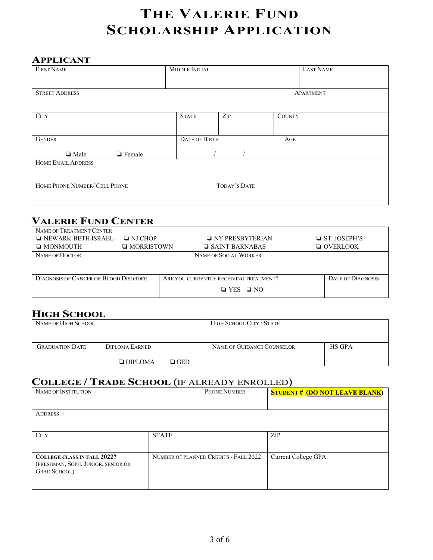#### **APPLICANT**

| <b>FIRST NAME</b>              | MIDDLE INITIAL       |              | <b>LAST NAME</b> |           |
|--------------------------------|----------------------|--------------|------------------|-----------|
|                                |                      |              |                  |           |
| <b>STREET ADDRESS</b>          |                      |              |                  | APARTMENT |
|                                |                      |              |                  |           |
| <b>CITY</b>                    | <b>STATE</b>         | ZIP          | <b>COUNTY</b>    |           |
|                                |                      |              |                  |           |
| <b>GENDER</b>                  | <b>DATE OF BIRTH</b> |              | AGE              |           |
| <b>Q</b> Female<br>$\Box$ Male |                      |              |                  |           |
| <b>HOME EMAIL ADDRESS</b>      |                      |              |                  |           |
|                                |                      |              |                  |           |
| HOME PHONE NUMBER/ CELL PHONE  |                      | TODAY'S DATE |                  |           |
|                                |                      |              |                  |           |

### **VALERIE FUND CENTER**

| NAME OF TREATMENT CENTER                     |                   |                      |                                        |  |                          |
|----------------------------------------------|-------------------|----------------------|----------------------------------------|--|--------------------------|
| $\Box$ NEWARK BETH ISRAEL                    | $\Box$ NJ CHOP    |                      | $\Box$ NY PRESBYTERIAN                 |  | $\Box$ ST. JOSEPH'S      |
| $\Box$ MONMOUTH                              | $\Box$ MORRISTOWN |                      | $\Box$ SAINT BARNABAS                  |  | $\Box$ OVERLOOK          |
| NAME OF DOCTOR                               |                   |                      | NAME OF SOCIAL WORKER                  |  |                          |
|                                              |                   |                      |                                        |  |                          |
|                                              |                   |                      |                                        |  |                          |
| <b>DIAGNOSIS OF CANCER OR BLOOD DISORDER</b> |                   |                      | ARE YOU CURRENTLY RECEIVING TREATMENT? |  | <b>DATE OF DIAGNOSIS</b> |
|                                              |                   | $\Box$ YES $\Box$ NO |                                        |  |                          |

## **HIGH SCHOOL**

| NAME OF HIGH SCHOOL    |                |                | HIGH SCHOOL CITY / STATE   |               |
|------------------------|----------------|----------------|----------------------------|---------------|
| <b>GRADUATION DATE</b> | DIPLOMA EARNED |                | NAME OF GUIDANCE COUNSELOR | <b>HS GPA</b> |
|                        | $\Box$ DIPLOMA | $\square$ GED. |                            |               |

### **COLLEGE / TRADE SCHOOL** (IF ALREADY ENROLLED)

| NAME OF INSTITUTION                                                                              |              | PHONE NUMBER                          | <b>STUDENT# (DO NOT LEAVE BLANK)</b> |
|--------------------------------------------------------------------------------------------------|--------------|---------------------------------------|--------------------------------------|
| <b>ADDRESS</b>                                                                                   |              |                                       |                                      |
| <b>CITY</b>                                                                                      | <b>STATE</b> |                                       | ZIP                                  |
| <b>COLLEGE CLASS IN FALL 2022?</b><br>(FRESHMAN, SOPH, JUNIOR, SENIOR OR<br><b>GRAD SCHOOL</b> ) |              | NUMBER OF PLANNED CREDITS - FALL 2022 | Current College GPA                  |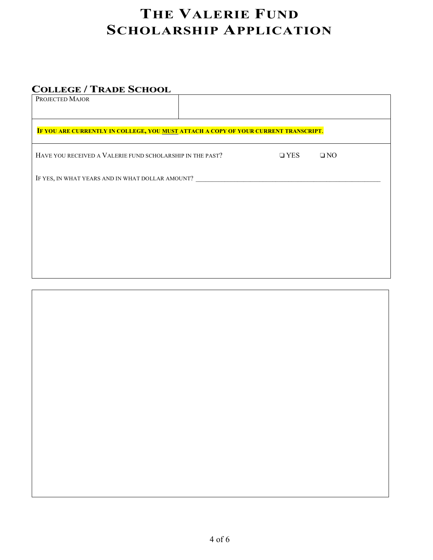## **COLLEGE / TRADE SCHOOL**

| PROJECTED MAJOR                                                                     |  |            |              |  |
|-------------------------------------------------------------------------------------|--|------------|--------------|--|
|                                                                                     |  |            |              |  |
|                                                                                     |  |            |              |  |
| IF YOU ARE CURRENTLY IN COLLEGE, YOU MUST ATTACH A COPY OF YOUR CURRENT TRANSCRIPT. |  |            |              |  |
| HAVE YOU RECEIVED A VALERIE FUND SCHOLARSHIP IN THE PAST?                           |  | $\Box$ YES | $\square$ NO |  |
| IF YES, IN WHAT YEARS AND IN WHAT DOLLAR AMOUNT? ________________________________   |  |            |              |  |
|                                                                                     |  |            |              |  |
|                                                                                     |  |            |              |  |
|                                                                                     |  |            |              |  |
|                                                                                     |  |            |              |  |
|                                                                                     |  |            |              |  |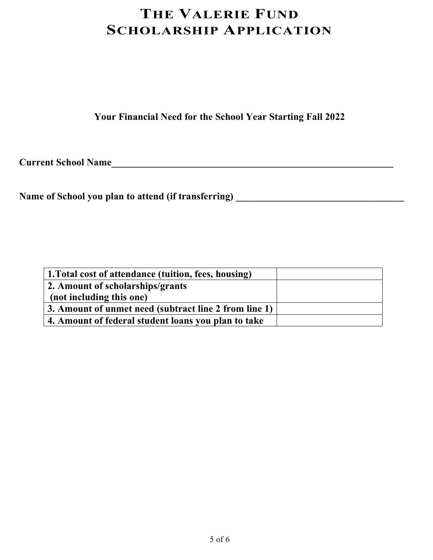**Your Financial Need for the School Year Starting Fall 2022**

**Current School Name\_\_\_\_\_\_\_\_\_\_\_\_\_\_\_\_\_\_\_\_\_\_\_\_\_\_\_\_\_\_\_\_\_\_\_\_\_\_\_\_\_\_\_\_\_\_\_\_\_\_\_\_\_\_\_\_\_**

**Name of School you plan to attend (if transferring) \_\_\_\_\_\_\_\_\_\_\_\_\_\_\_\_\_\_\_\_\_\_\_\_\_\_\_\_\_\_\_\_\_\_**

| 1. Total cost of attendance (tuition, fees, housing)  |  |
|-------------------------------------------------------|--|
| 2. Amount of scholarships/grants                      |  |
| (not including this one)                              |  |
| 3. Amount of unmet need (subtract line 2 from line 1) |  |
| 4. Amount of federal student loans you plan to take   |  |